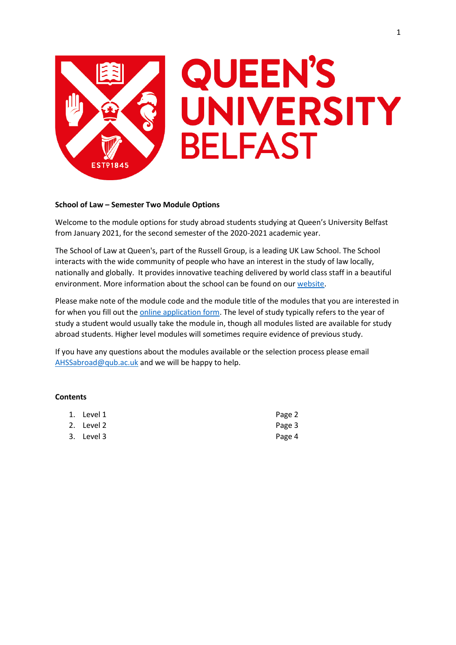

# **QUEEN'S** UNIVERSITY **BELFAST**

# **School of Law – Semester Two Module Options**

Welcome to the module options for study abroad students studying at Queen's University Belfast from January 2021, for the second semester of the 2020-2021 academic year.

The School of Law at Queen's, part of the Russell Group, is a leading UK Law School. The School interacts with the wide community of people who have an interest in the study of law locally, nationally and globally. It provides innovative teaching delivered by world class staff in a beautiful environment. More information about the school can be found on our [website.](http://law.qub.ac.uk/)

Please make note of the module code and the module title of the modules that you are interested in for when you fill out the **online application form**. The level of study typically refers to the year of study a student would usually take the module in, though all modules listed are available for study abroad students. Higher level modules will sometimes require evidence of previous study.

If you have any questions about the modules available or the selection process please email [AHSSabroad@qub.ac.uk](mailto:AHSSabroad@qub.ac.uk) and we will be happy to help.

## **Contents**

| 1. Level 1 | Page 2 |
|------------|--------|
| 2. Level 2 | Page 3 |
| 3. Level 3 | Page 4 |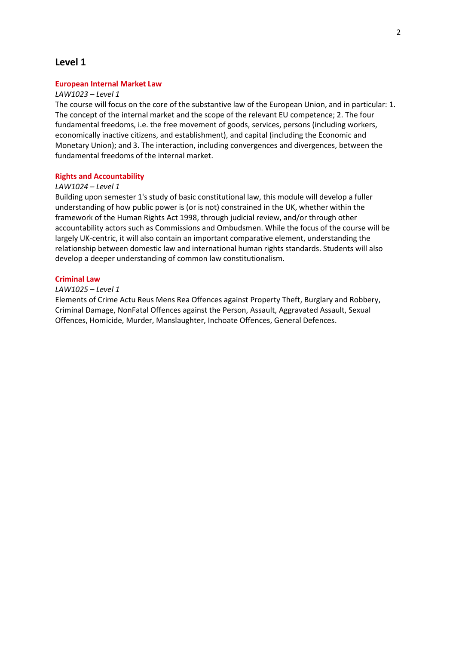# **Level 1**

#### **European Internal Market Law**

#### *LAW1023 – Level 1*

The course will focus on the core of the substantive law of the European Union, and in particular: 1. The concept of the internal market and the scope of the relevant EU competence; 2. The four fundamental freedoms, i.e. the free movement of goods, services, persons (including workers, economically inactive citizens, and establishment), and capital (including the Economic and Monetary Union); and 3. The interaction, including convergences and divergences, between the fundamental freedoms of the internal market.

## **Rights and Accountability**

#### *LAW1024 – Level 1*

Building upon semester 1's study of basic constitutional law, this module will develop a fuller understanding of how public power is (or is not) constrained in the UK, whether within the framework of the Human Rights Act 1998, through judicial review, and/or through other accountability actors such as Commissions and Ombudsmen. While the focus of the course will be largely UK-centric, it will also contain an important comparative element, understanding the relationship between domestic law and international human rights standards. Students will also develop a deeper understanding of common law constitutionalism.

#### **Criminal Law**

## *LAW1025 – Level 1*

Elements of Crime Actu Reus Mens Rea Offences against Property Theft, Burglary and Robbery, Criminal Damage, NonFatal Offences against the Person, Assault, Aggravated Assault, Sexual Offences, Homicide, Murder, Manslaughter, Inchoate Offences, General Defences.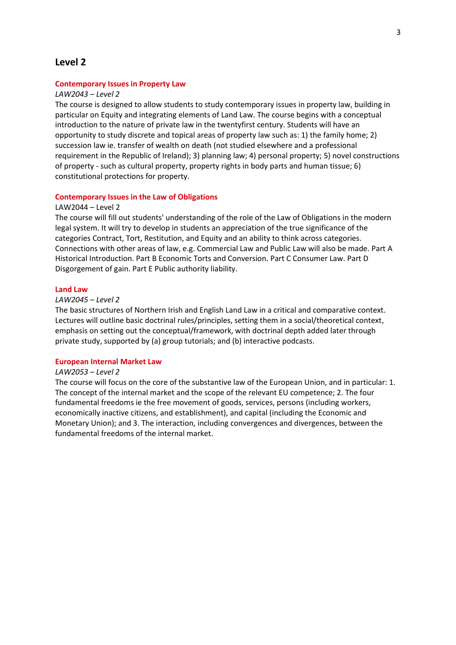# **Level 2**

# **Contemporary Issues in Property Law**

#### *LAW2043 – Level 2*

The course is designed to allow students to study contemporary issues in property law, building in particular on Equity and integrating elements of Land Law. The course begins with a conceptual introduction to the nature of private law in the twentyfirst century. Students will have an opportunity to study discrete and topical areas of property law such as: 1) the family home; 2) succession law ie. transfer of wealth on death (not studied elsewhere and a professional requirement in the Republic of Ireland); 3) planning law; 4) personal property; 5) novel constructions of property - such as cultural property, property rights in body parts and human tissue; 6) constitutional protections for property.

#### **Contemporary Issues in the Law of Obligations**

## LAW2044 – Level 2

The course will fill out students' understanding of the role of the Law of Obligations in the modern legal system. It will try to develop in students an appreciation of the true significance of the categories Contract, Tort, Restitution, and Equity and an ability to think across categories. Connections with other areas of law, e.g. Commercial Law and Public Law will also be made. Part A Historical Introduction. Part B Economic Torts and Conversion. Part C Consumer Law. Part D Disgorgement of gain. Part E Public authority liability.

#### **Land Law**

# *LAW2045 – Level 2*

The basic structures of Northern Irish and English Land Law in a critical and comparative context. Lectures will outline basic doctrinal rules/principles, setting them in a social/theoretical context, emphasis on setting out the conceptual/framework, with doctrinal depth added later through private study, supported by (a) group tutorials; and (b) interactive podcasts.

#### **European Internal Market Law**

## *LAW2053 – Level 2*

The course will focus on the core of the substantive law of the European Union, and in particular: 1. The concept of the internal market and the scope of the relevant EU competence; 2. The four fundamental freedoms ie the free movement of goods, services, persons (including workers, economically inactive citizens, and establishment), and capital (including the Economic and Monetary Union); and 3. The interaction, including convergences and divergences, between the fundamental freedoms of the internal market.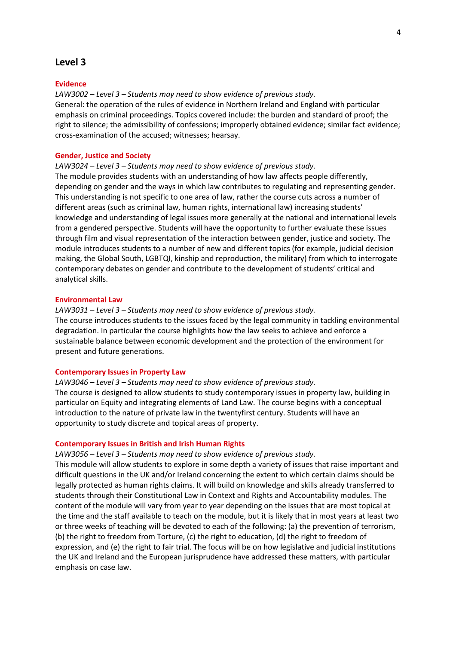# **Level 3**

#### **Evidence**

*LAW3002 – Level 3 – Students may need to show evidence of previous study.* General: the operation of the rules of evidence in Northern Ireland and England with particular emphasis on criminal proceedings. Topics covered include: the burden and standard of proof; the right to silence; the admissibility of confessions; improperly obtained evidence; similar fact evidence; cross-examination of the accused; witnesses; hearsay.

#### **Gender, Justice and Society**

#### *LAW3024 – Level 3 – Students may need to show evidence of previous study.*

The module provides students with an understanding of how law affects people differently, depending on gender and the ways in which law contributes to regulating and representing gender. This understanding is not specific to one area of law, rather the course cuts across a number of different areas (such as criminal law, human rights, international law) increasing students' knowledge and understanding of legal issues more generally at the national and international levels from a gendered perspective. Students will have the opportunity to further evaluate these issues through film and visual representation of the interaction between gender, justice and society. The module introduces students to a number of new and different topics (for example, judicial decision making, the Global South, LGBTQI, kinship and reproduction, the military) from which to interrogate contemporary debates on gender and contribute to the development of students' critical and analytical skills.

# **Environmental Law**

# *LAW3031 – Level 3 – Students may need to show evidence of previous study.*

The course introduces students to the issues faced by the legal community in tackling environmental degradation. In particular the course highlights how the law seeks to achieve and enforce a sustainable balance between economic development and the protection of the environment for present and future generations.

## **Contemporary Issues in Property Law**

# *LAW3046 – Level 3 – Students may need to show evidence of previous study.* The course is designed to allow students to study contemporary issues in property law, building in particular on Equity and integrating elements of Land Law. The course begins with a conceptual introduction to the nature of private law in the twentyfirst century. Students will have an opportunity to study discrete and topical areas of property.

#### **Contemporary Issues in British and Irish Human Rights**

#### *LAW3056 – Level 3 – Students may need to show evidence of previous study.*

This module will allow students to explore in some depth a variety of issues that raise important and difficult questions in the UK and/or Ireland concerning the extent to which certain claims should be legally protected as human rights claims. It will build on knowledge and skills already transferred to students through their Constitutional Law in Context and Rights and Accountability modules. The content of the module will vary from year to year depending on the issues that are most topical at the time and the staff available to teach on the module, but it is likely that in most years at least two or three weeks of teaching will be devoted to each of the following: (a) the prevention of terrorism, (b) the right to freedom from Torture, (c) the right to education, (d) the right to freedom of expression, and (e) the right to fair trial. The focus will be on how legislative and judicial institutions the UK and Ireland and the European jurisprudence have addressed these matters, with particular emphasis on case law.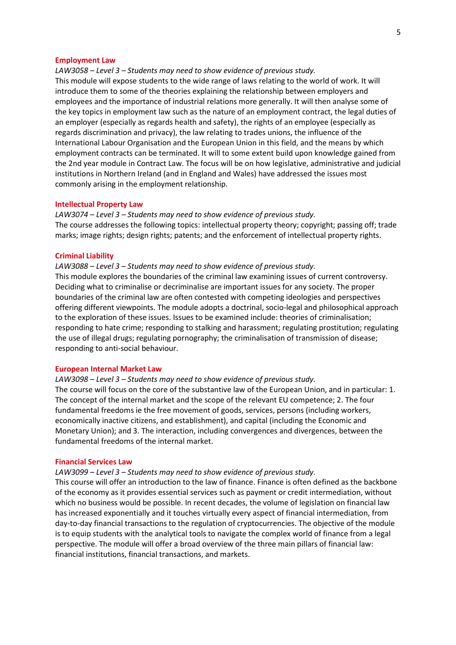#### **Employment Law**

*LAW3058 – Level 3 – Students may need to show evidence of previous study.*

This module will expose students to the wide range of laws relating to the world of work. It will introduce them to some of the theories explaining the relationship between employers and employees and the importance of industrial relations more generally. It will then analyse some of the key topics in employment law such as the nature of an employment contract, the legal duties of an employer (especially as regards health and safety), the rights of an employee (especially as regards discrimination and privacy), the law relating to trades unions, the influence of the International Labour Organisation and the European Union in this field, and the means by which employment contracts can be terminated. It will to some extent build upon knowledge gained from the 2nd year module in Contract Law. The focus will be on how legislative, administrative and judicial institutions in Northern Ireland (and in England and Wales) have addressed the issues most commonly arising in the employment relationship.

#### **Intellectual Property Law**

*LAW3074 – Level 3 – Students may need to show evidence of previous study.* The course addresses the following topics: intellectual property theory; copyright; passing off; trade marks; image rights; design rights; patents; and the enforcement of intellectual property rights.

#### **Criminal Liability**

*LAW3088 – Level 3 – Students may need to show evidence of previous study.*

This module explores the boundaries of the criminal law examining issues of current controversy. Deciding what to criminalise or decriminalise are important issues for any society. The proper boundaries of the criminal law are often contested with competing ideologies and perspectives offering different viewpoints. The module adopts a doctrinal, socio-legal and philosophical approach to the exploration of these issues. Issues to be examined include: theories of criminalisation; responding to hate crime; responding to stalking and harassment; regulating prostitution; regulating the use of illegal drugs; regulating pornography; the criminalisation of transmission of disease; responding to anti-social behaviour.

#### **European Internal Market Law**

*LAW3098 – Level 3 – Students may need to show evidence of previous study.*

The course will focus on the core of the substantive law of the European Union, and in particular: 1. The concept of the internal market and the scope of the relevant EU competence; 2. The four fundamental freedoms ie the free movement of goods, services, persons (including workers, economically inactive citizens, and establishment), and capital (including the Economic and Monetary Union); and 3. The interaction, including convergences and divergences, between the fundamental freedoms of the internal market.

#### **Financial Services Law**

*LAW3099 – Level 3 – Students may need to show evidence of previous study.*

This course will offer an introduction to the law of finance. Finance is often defined as the backbone of the economy as it provides essential services such as payment or credit intermediation, without which no business would be possible. In recent decades, the volume of legislation on financial law has increased exponentially and it touches virtually every aspect of financial intermediation, from day-to-day financial transactions to the regulation of cryptocurrencies. The objective of the module is to equip students with the analytical tools to navigate the complex world of finance from a legal perspective. The module will offer a broad overview of the three main pillars of financial law: financial institutions, financial transactions, and markets.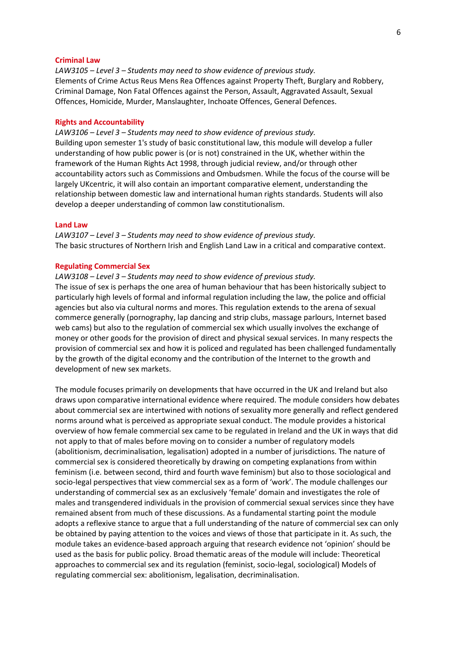## **Criminal Law**

*LAW3105 – Level 3 – Students may need to show evidence of previous study.* Elements of Crime Actus Reus Mens Rea Offences against Property Theft, Burglary and Robbery, Criminal Damage, Non Fatal Offences against the Person, Assault, Aggravated Assault, Sexual Offences, Homicide, Murder, Manslaughter, Inchoate Offences, General Defences.

#### **Rights and Accountability**

*LAW3106 – Level 3 – Students may need to show evidence of previous study.* Building upon semester 1's study of basic constitutional law, this module will develop a fuller understanding of how public power is (or is not) constrained in the UK, whether within the framework of the Human Rights Act 1998, through judicial review, and/or through other accountability actors such as Commissions and Ombudsmen. While the focus of the course will be largely UKcentric, it will also contain an important comparative element, understanding the relationship between domestic law and international human rights standards. Students will also develop a deeper understanding of common law constitutionalism.

#### **Land Law**

*LAW3107 – Level 3 – Students may need to show evidence of previous study.* The basic structures of Northern Irish and English Land Law in a critical and comparative context.

#### **Regulating Commercial Sex**

*LAW3108 – Level 3 – Students may need to show evidence of previous study.*

The issue of sex is perhaps the one area of human behaviour that has been historically subject to particularly high levels of formal and informal regulation including the law, the police and official agencies but also via cultural norms and mores. This regulation extends to the arena of sexual commerce generally (pornography, lap dancing and strip clubs, massage parlours, Internet based web cams) but also to the regulation of commercial sex which usually involves the exchange of money or other goods for the provision of direct and physical sexual services. In many respects the provision of commercial sex and how it is policed and regulated has been challenged fundamentally by the growth of the digital economy and the contribution of the Internet to the growth and development of new sex markets.

The module focuses primarily on developments that have occurred in the UK and Ireland but also draws upon comparative international evidence where required. The module considers how debates about commercial sex are intertwined with notions of sexuality more generally and reflect gendered norms around what is perceived as appropriate sexual conduct. The module provides a historical overview of how female commercial sex came to be regulated in Ireland and the UK in ways that did not apply to that of males before moving on to consider a number of regulatory models (abolitionism, decriminalisation, legalisation) adopted in a number of jurisdictions. The nature of commercial sex is considered theoretically by drawing on competing explanations from within feminism (i.e. between second, third and fourth wave feminism) but also to those sociological and socio-legal perspectives that view commercial sex as a form of 'work'. The module challenges our understanding of commercial sex as an exclusively 'female' domain and investigates the role of males and transgendered individuals in the provision of commercial sexual services since they have remained absent from much of these discussions. As a fundamental starting point the module adopts a reflexive stance to argue that a full understanding of the nature of commercial sex can only be obtained by paying attention to the voices and views of those that participate in it. As such, the module takes an evidence-based approach arguing that research evidence not 'opinion' should be used as the basis for public policy. Broad thematic areas of the module will include: Theoretical approaches to commercial sex and its regulation (feminist, socio-legal, sociological) Models of regulating commercial sex: abolitionism, legalisation, decriminalisation.